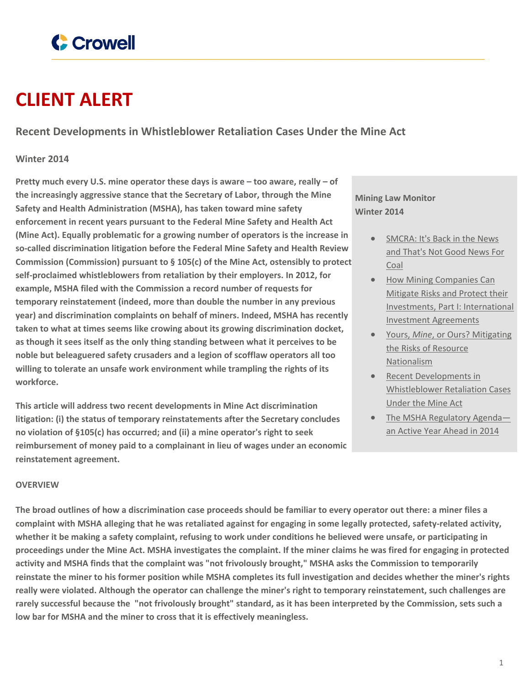

# **CLIENT ALERT**

**Recent Developments in Whistleblower Retaliation Cases Under the Mine Act**

## **Winter 2014**

**Pretty much every U.S. mine operator these days is aware – too aware, really – of the increasingly aggressive stance that the Secretary of Labor, through the Mine Safety and Health Administration (MSHA), has taken toward mine safety enforcement in recent years pursuant to the Federal Mine Safety and Health Act (Mine Act). Equally problematic for a growing number of operators is the increase in so-called discrimination litigation before the Federal Mine Safety and Health Review Commission (Commission) pursuant to § 105(c) of the Mine Act, ostensibly to protect self-proclaimed whistleblowers from retaliation by their employers. In 2012, for example, MSHA filed with the Commission a record number of requests for temporary reinstatement (indeed, more than double the number in any previous year) and discrimination complaints on behalf of miners. Indeed, MSHA has recently taken to what at times seems like crowing about its growing discrimination docket, as though it sees itself as the only thing standing between what it perceives to be noble but beleaguered safety crusaders and a legion of scofflaw operators all too willing to tolerate an unsafe work environment while trampling the rights of its workforce.**

**This article will address two recent developments in Mine Act discrimination litigation: (i) the status of temporary reinstatements after the Secretary concludes no violation of §105(c) has occurred; and (ii) a mine operator's right to seek reimbursement of money paid to a complainant in lieu of wages under an economic reinstatement agreement.**

**Mining Law Monitor Winter 2014**

- [SMCRA:](https://www.crowell.com/NewsEvents/All/SMCRA-Its-Back-in-the-News-and-Thats-Not-Good-News-For-Coal) It's Back in the News and [That's](https://www.crowell.com/NewsEvents/All/SMCRA-Its-Back-in-the-News-and-Thats-Not-Good-News-For-Coal) Not Good News For [Coal](https://www.crowell.com/NewsEvents/All/SMCRA-Its-Back-in-the-News-and-Thats-Not-Good-News-For-Coal)
- How Mining [Companies](https://www.crowell.com/NewsEvents/All/How-Mining-Companies-Can-Mitigate-Risks-and-Protect-their-Investments-Part-I-International-Investment-Agreements) Can [Mitigate](https://www.crowell.com/NewsEvents/All/How-Mining-Companies-Can-Mitigate-Risks-and-Protect-their-Investments-Part-I-International-Investment-Agreements) Risks and Protect their Investments, Part I: [International](https://www.crowell.com/NewsEvents/All/How-Mining-Companies-Can-Mitigate-Risks-and-Protect-their-Investments-Part-I-International-Investment-Agreements) Investment [Agreements](https://www.crowell.com/NewsEvents/All/How-Mining-Companies-Can-Mitigate-Risks-and-Protect-their-Investments-Part-I-International-Investment-Agreements)
- Yours, *Mine*, or Ours? [Mitigating](https://www.crowell.com/NewsEvents/All/Yours-Mine-or-Ours-Mitigating-the-Risks-of-Resource-Nationalism) the Risks of [Resource](https://www.crowell.com/NewsEvents/All/Yours-Mine-or-Ours-Mitigating-the-Risks-of-Resource-Nationalism) [Nationalism](https://www.crowell.com/NewsEvents/All/Yours-Mine-or-Ours-Mitigating-the-Risks-of-Resource-Nationalism)
- Recent [Developments](https://www.crowell.com/NewsEvents/All/Recent-Developments-in-Whistleblower-Retaliation-Cases-Under-the-Mine-Act) in [Whistleblower](https://www.crowell.com/NewsEvents/All/Recent-Developments-in-Whistleblower-Retaliation-Cases-Under-the-Mine-Act) Retaliation Cases [Under](https://www.crowell.com/NewsEvents/All/Recent-Developments-in-Whistleblower-Retaliation-Cases-Under-the-Mine-Act) the Mine Act
- The MSHA [Regulatory](https://www.crowell.com/NewsEvents/All/The-MSHA-Regulatory-Agenda-an-Active-Year-Ahead-in-2014) Agend[a](https://www.crowell.com/NewsEvents/All/The-MSHA-Regulatory-Agenda-an-Active-Year-Ahead-in-2014) an Active Year [Ahead](https://www.crowell.com/NewsEvents/All/The-MSHA-Regulatory-Agenda-an-Active-Year-Ahead-in-2014) in 2014

### **OVERVIEW**

The broad outlines of how a discrimination case proceeds should be familiar to every operator out there: a miner files a complaint with MSHA alleging that he was retaliated against for engaging in some legally protected, safety-related activity, whether it be making a safety complaint, refusing to work under conditions he believed were unsafe, or participating in proceedings under the Mine Act. MSHA investigates the complaint. If the miner claims he was fired for engaging in protected activity and MSHA finds that the complaint was "not frivolously brought," MSHA asks the Commission to temporarily reinstate the miner to his former position while MSHA completes its full investigation and decides whether the miner's rights really were violated. Although the operator can challenge the miner's right to temporary reinstatement, such challenges are rarely successful because the "not frivolously brought" standard, as it has been interpreted by the Commission, sets such a **low bar for MSHA and the miner to cross that it is effectively meaningless.**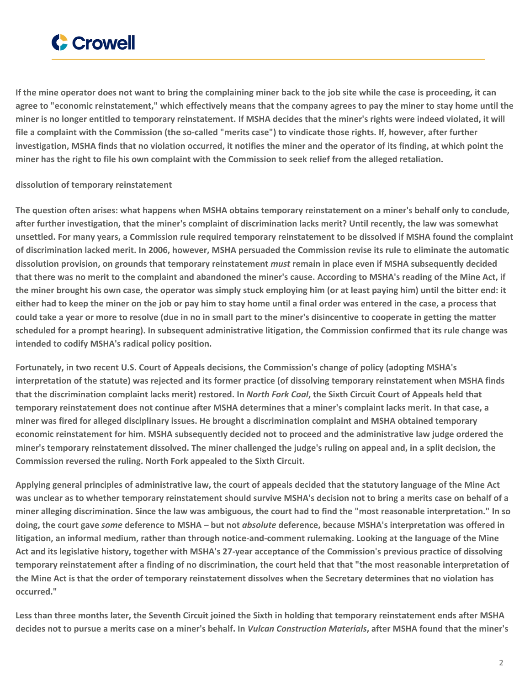

If the mine operator does not want to bring the complaining miner back to the job site while the case is proceeding, it can agree to "economic reinstatement," which effectively means that the company agrees to pay the miner to stay home until the miner is no longer entitled to temporary reinstatement. If MSHA decides that the miner's rights were indeed violated, it will file a complaint with the Commission (the so-called "merits case") to vindicate those rights. If, however, after further investigation, MSHA finds that no violation occurred, it notifies the miner and the operator of its finding, at which point the miner has the right to file his own complaint with the Commission to seek relief from the alleged retaliation.

### **dissolution of temporary reinstatement**

The question often arises: what happens when MSHA obtains temporary reinstatement on a miner's behalf only to conclude, after further investigation, that the miner's complaint of discrimination lacks merit? Until recently, the law was somewhat unsettled. For many years, a Commission rule required temporary reinstatement to be dissolved if MSHA found the complaint of discrimination lacked merit. In 2006, however, MSHA persuaded the Commission revise its rule to eliminate the automatic dissolution provision, on grounds that temporary reinstatement *must* remain in place even if MSHA subsequently decided that there was no merit to the complaint and abandoned the miner's cause. According to MSHA's reading of the Mine Act, if the miner brought his own case, the operator was simply stuck employing him (or at least paying him) until the bitter end: it either had to keep the miner on the job or pay him to stay home until a final order was entered in the case, a process that could take a year or more to resolve (due in no in small part to the miner's disincentive to cooperate in getting the matter scheduled for a prompt hearing). In subsequent administrative litigation, the Commission confirmed that its rule change was **intended to codify MSHA's radical policy position.**

**Fortunately, in two recent U.S. Court of Appeals decisions, the Commission's change of policy (adopting MSHA's** interpretation of the statute) was rejected and its former practice (of dissolving temporary reinstatement when MSHA finds that the discrimination complaint lacks merit) restored. In North Fork Coal, the Sixth Circuit Court of Appeals held that temporary reinstatement does not continue after MSHA determines that a miner's complaint lacks merit. In that case, a miner was fired for alleged disciplinary issues. He brought a discrimination complaint and MSHA obtained temporary economic reinstatement for him. MSHA subsequently decided not to proceed and the administrative law judge ordered the miner's temporary reinstatement dissolved. The miner challenged the judge's ruling on appeal and, in a split decision, the **Commission reversed the ruling. North Fork appealed to the Sixth Circuit.**

Applying general principles of administrative law, the court of appeals decided that the statutory language of the Mine Act was unclear as to whether temporary reinstatement should survive MSHA's decision not to bring a merits case on behalf of a miner alleging discrimination. Since the law was ambiguous, the court had to find the "most reasonable interpretation." In so doing, the court gave *some* deference to MSHA – but not *absolute* deference, because MSHA's interpretation was offered in litigation, an informal medium, rather than through notice-and-comment rulemaking. Looking at the language of the Mine Act and its legislative history, together with MSHA's 27-year acceptance of the Commission's previous practice of dissolving temporary reinstatement after a finding of no discrimination, the court held that that "the most reasonable interpretation of the Mine Act is that the order of temporary reinstatement dissolves when the Secretary determines that no violation has **occurred."**

Less than three months later, the Seventh Circuit joined the Sixth in holding that temporary reinstatement ends after MSHA decides not to pursue a merits case on a miner's behalf. In Vulcan Construction Materials, after MSHA found that the miner's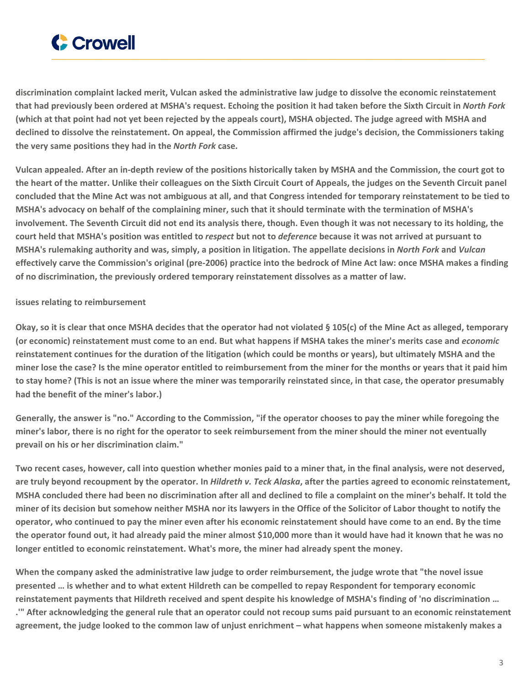

**discrimination complaint lacked merit, Vulcan asked the administrative law judge to dissolve the economic reinstatement** that had previously been ordered at MSHA's request. Echoing the position it had taken before the Sixth Circuit in North Fork (which at that point had not yet been rejected by the appeals court), MSHA objected. The judge agreed with MSHA and declined to dissolve the reinstatement. On appeal, the Commission affirmed the judge's decision, the Commissioners taking **the very same positions they had in the** *North Fork* **case.**

Vulcan appealed. After an in-depth review of the positions historically taken by MSHA and the Commission, the court got to the heart of the matter, Unlike their colleagues on the Sixth Circuit Court of Appeals, the judges on the Seventh Circuit panel concluded that the Mine Act was not ambiguous at all, and that Congress intended for temporary reinstatement to be tied to MSHA's advocacy on behalf of the complaining miner, such that it should terminate with the termination of MSHA's involvement. The Seventh Circuit did not end its analysis there, though. Even though it was not necessary to its holding, the court held that MSHA's position was entitled to respect but not to deference because it was not arrived at pursuant to MSHA's rulemaking authority and was, simply, a position in litigation. The appellate decisions in North Fork and Vulcan effectively carve the Commission's original (pre-2006) practice into the bedrock of Mine Act law: once MSHA makes a finding **of no discrimination, the previously ordered temporary reinstatement dissolves as a matter of law.**

### **issues relating to reimbursement**

Okay, so it is clear that once MSHA decides that the operator had not violated § 105(c) of the Mine Act as alleged, temporary (or economic) reinstatement must come to an end. But what happens if MSHA takes the miner's merits case and economic reinstatement continues for the duration of the litigation (which could be months or years), but ultimately MSHA and the miner lose the case? Is the mine operator entitled to reimbursement from the miner for the months or years that it paid him to stay home? (This is not an issue where the miner was temporarily reinstated since, in that case, the operator presumably **had the benefit of the miner's labor.)**

Generally, the answer is "no." According to the Commission, "if the operator chooses to pay the miner while foregoing the miner's labor, there is no right for the operator to seek reimbursement from the miner should the miner not eventually **prevail on his or her discrimination claim."**

Two recent cases, however, call into question whether monies paid to a miner that, in the final analysis, were not deserved, are truly beyond recoupment by the operator. In Hildreth v. Teck Alaska, after the parties agreed to economic reinstatement, MSHA concluded there had been no discrimination after all and declined to file a complaint on the miner's behalf. It told the miner of its decision but somehow neither MSHA nor its lawyers in the Office of the Solicitor of Labor thought to notify the operator, who continued to pay the miner even after his economic reinstatement should have come to an end. By the time the operator found out, it had already paid the miner almost \$10,000 more than it would have had it known that he was no **longer entitled to economic reinstatement. What's more, the miner had already spent the money.**

When the company asked the administrative law judge to order reimbursement, the judge wrote that "the novel issue presented ... is whether and to what extent Hildreth can be compelled to repay Respondent for temporary economic reinstatement payments that Hildreth received and spent despite his knowledge of MSHA's finding of 'no discrimination ... ." After acknowledging the general rule that an operator could not recoup sums paid pursuant to an economic reinstatement agreement, the judge looked to the common law of unjust enrichment – what happens when someone mistakenly makes a